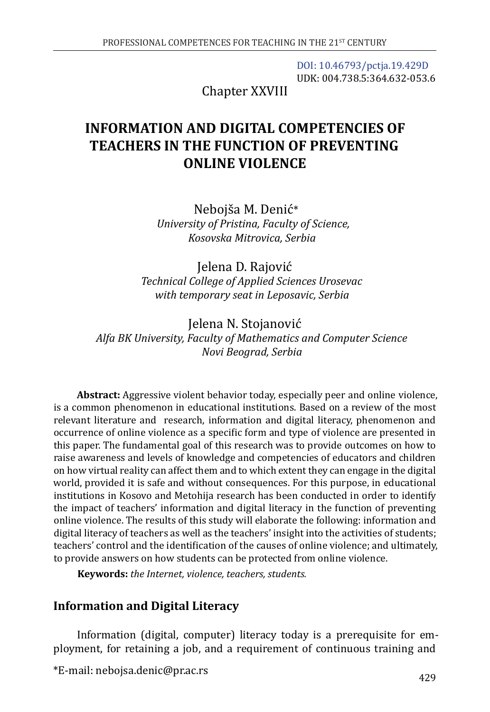[DOI: 10.46793/pctja.19.429D](https://doi.org/10.46793/pctja.19.429D) UDK: 004.738.5:364.632-053.6

Chapter XXVIII

# **INFORMATION AND DIGITAL COMPETENCIES OF TEACHERS IN THE FUNCTION OF PREVENTING ONLINE VIOLENCE**

Nebojša M. Denić\* *University of Pristina, Faculty of Science, Kosovska Mitrovica, Serbia* 

Jelena D. Rajović *Technical College of Applied Sciences Urosevac with temporary seat in Leposavic, Serbia*

Jelena N. Stojanović *Alfa BK University, Faculty of Mathematics and Computer Science Novi Beograd, Serbia*

**Abstract:** Aggressive violent behavior today, especially peer and online violence, is a common phenomenon in educational institutions. Based on a review of the most relevant literature and research, information and digital literacy, phenomenon and occurrence of online violence as a specific form and type of violence are presented in this paper. The fundamental goal of this research was to provide outcomes on how to raise awareness and levels of knowledge and competencies of educators and children on how virtual reality can affect them and to which extent they can engage in the digital world, provided it is safe and without consequences. For this purpose, in educational institutions in Kosovo and Metohija research has been conducted in order to identify the impact of teachers' information and digital literacy in the function of preventing online violence. The results of this study will elaborate the following: information and digital literacy of teachers as well as the teachers' insight into the activities of students; teachers' control and the identification of the causes of online violence; and ultimately, to provide answers on how students can be protected from online violence.

**Keywords:** *the Internet, violence, teachers, students.*

## **Information and Digital Literacy**

Information (digital, computer) literacy today is a prerequisite for employment, for retaining a job, and a requirement of continuous training and

\*E-mail: [nebojsa.denic@pr.ac.rs](mailto:nebojsa.denic@pr.ac.rs)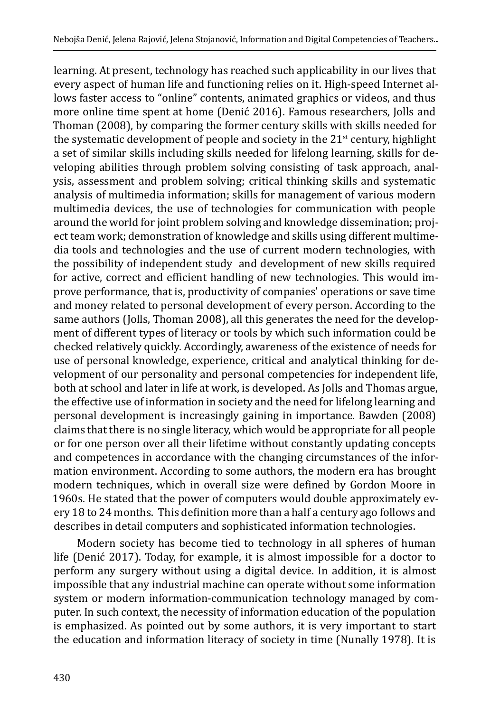learning. At present, technology has reached such applicability in our lives that every aspect of human life and functioning relies on it. High-speed Internet allows faster access to "online" contents, animated graphics or videos, and thus more online time spent at home (Denić 2016). Famous researchers, Jolls and Thoman (2008), by comparing the former century skills with skills needed for the systematic development of people and society in the  $21<sup>st</sup>$  century, highlight a set of similar skills including skills needed for lifelong learning, skills for developing abilities through problem solving consisting of task approach, analysis, assessment and problem solving; critical thinking skills and systematic analysis of multimedia information; skills for management of various modern multimedia devices, the use of technologies for communication with people around the world for joint problem solving and knowledge dissemination; project team work; demonstration of knowledge and skills using different multimedia tools and technologies and the use of current modern technologies, with the possibility of independent study and development of new skills required for active, correct and efficient handling of new technologies. This would improve performance, that is, productivity of companies' operations or save time and money related to personal development of every person. According to the same authors (Jolls, Thoman 2008), all this generates the need for the development of different types of literacy or tools by which such information could be checked relatively quickly. Accordingly, awareness of the existence of needs for use of personal knowledge, experience, critical and analytical thinking for development of our personality and personal competencies for independent life, both at school and later in life at work, is developed. As Jolls and Thomas argue, the effective use of information in society and the need for lifelong learning and personal development is increasingly gaining in importance. Bawden (2008) claims that there is no single literacy, which would be appropriate for all people or for one person over all their lifetime without constantly updating concepts and competences in accordance with the changing circumstances of the information environment. According to some authors, the modern era has brought modern techniques, which in overall size were defined by Gordon Moore in 1960s. He stated that the power of computers would double approximately every 18 to 24 months. This definition more than a half a century ago follows and describes in detail computers and sophisticated information technologies.

Modern society has become tied to technology in all spheres of human life (Denić 2017). Today, for example, it is almost impossible for a doctor to perform any surgery without using a digital device. In addition, it is almost impossible that any industrial machine can operate without some information system or modern information-communication technology managed by computer. In such context, the necessity of information education of the population is emphasized. As pointed out by some authors, it is very important to start the education and information literacy of society in time (Nunally 1978). It is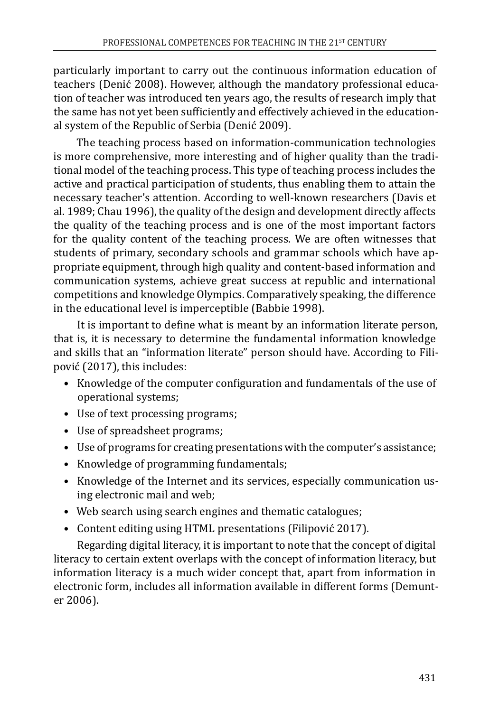particularly important to carry out the continuous information education of teachers (Denić 2008). However, although the mandatory professional education of teacher was introduced ten years ago, the results of research imply that the same has not yet been sufficiently and effectively achieved in the educational system of the Republic of Serbia (Denić 2009).

The teaching process based on information-communication technologies is more comprehensive, more interesting and of higher quality than the traditional model of the teaching process. This type of teaching process includes the active and practical participation of students, thus enabling them to attain the necessary teacher's attention. According to well-known researchers (Davis et al. 1989; Chau 1996), the quality of the design and development directly affects the quality of the teaching process and is one of the most important factors for the quality content of the teaching process. We are often witnesses that students of primary, secondary schools and grammar schools which have appropriate equipment, through high quality and content-based information and communication systems, achieve great success at republic and international competitions and knowledge Olympics. Comparatively speaking, the difference in the educational level is imperceptible (Babbie 1998).

It is important to define what is meant by an information literate person, that is, it is necessary to determine the fundamental information knowledge and skills that an "information literate" person should have. According to Filipović (2017), this includes:

- Knowledge of the computer configuration and fundamentals of the use of operational systems;
- Use of text processing programs;
- Use of spreadsheet programs;
- Use of programs for creating presentations with the computer's assistance;
- Knowledge of programming fundamentals;
- Knowledge of the Internet and its services, especially communication using electronic mail and web;
- Web search using search engines and thematic catalogues;
- Content editing using HTML presentations (Filipović 2017).

Regarding digital literacy, it is important to note that the concept of digital literacy to certain extent overlaps with the concept of information literacy, but information literacy is a much wider concept that, apart from information in electronic form, includes all information available in different forms (Demunter 2006).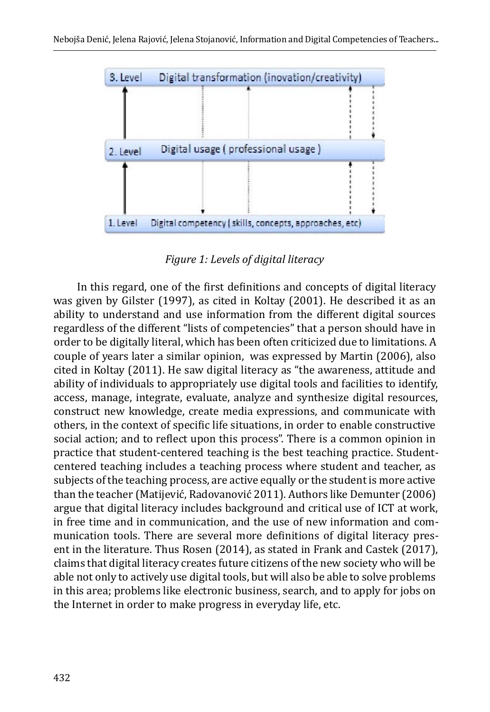

*Figure 1: Levels of digital literacy*

In this regard, one of the first definitions and concepts of digital literacy was given by Gilster (1997), as cited in Koltay (2001). He described it as an ability to understand and use information from the different digital sources regardless of the different "lists of competencies" that a person should have in order to be digitally literal, which has been often criticized due to limitations. A couple of years later a similar opinion, was expressed by Martin (2006), also cited in Koltay (2011). He saw digital literacy as "the awareness, attitude and ability of individuals to appropriately use digital tools and facilities to identify, access, manage, integrate, evaluate, analyze and synthesize digital resources, construct new knowledge, create media expressions, and communicate with others, in the context of specific life situations, in order to enable constructive social action; and to reflect upon this process". There is a common opinion in practice that student-centered teaching is the best teaching practice. Studentcentered teaching includes a teaching process where student and teacher, as subjects of the teaching process, are active equally or the student is more active than the teacher (Matijević, Radovanović 2011). Authors like Demunter (2006) argue that digital literacy includes background and critical use of ICT at work, in free time and in communication, and the use of new information and communication tools. There are several more definitions of digital literacy present in the literature. Thus Rosen (2014), as stated in Frank and Castek (2017), claims that digital literacy creates future citizens of the new society who will be able not only to actively use digital tools, but will also be able to solve problems in this area; problems like electronic business, search, and to apply for jobs on the Internet in order to make progress in everyday life, etc.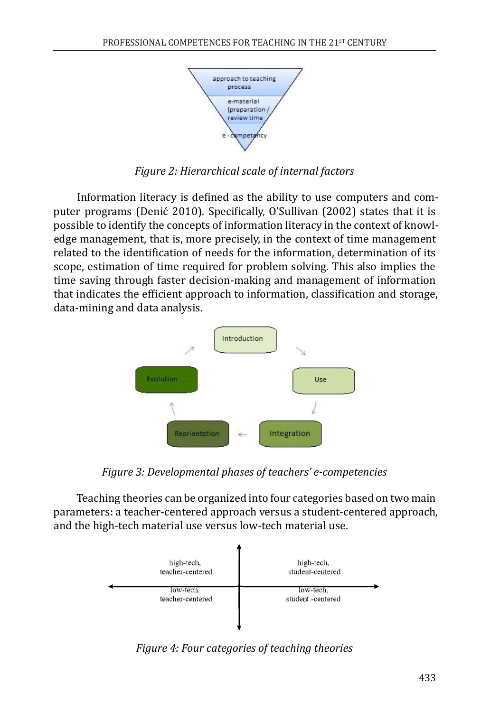

*Figure 2: Hierarchical scale of internal factors*

Information literacy is defined as the ability to use computers and computer programs (Denić 2010). Specifically, O'Sullivan (2002) states that it is possible to identify the concepts of information literacy in the context of knowledge management, that is, more precisely, in the context of time management related to the identification of needs for the information, determination of its scope, estimation of time required for problem solving. This also implies the time saving through faster decision-making and management of information that indicates the efficient approach to information, classification and storage, data-mining and data analysis.



*Figure 3: Developmental phases of teachers' e-competencies*

Teaching theories can be organized into four categories based on two main parameters: a teacher-centered approach versus a student-centered approach, and the high-tech material use versus low-tech material use.



*Figure 4: Four categories of teaching theories*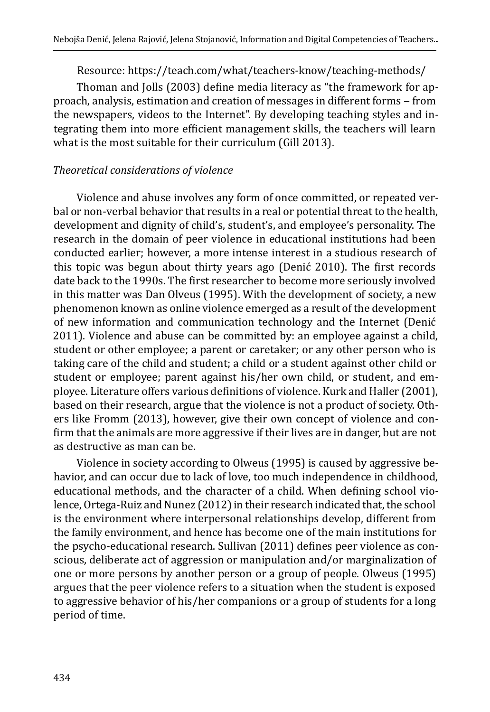Resource:<https://teach.com/what/teachers-know/teaching-methods/>

Thoman and Jolls (2003) define media literacy as "the framework for approach, analysis, estimation and creation of messages in different forms - from the newspapers, videos to the Internet". By developing teaching styles and integrating them into more efficient management skills, the teachers will learn what is the most suitable for their curriculum (Gill 2013).

#### *Theoretical considerations of violence*

Violence and abuse involves any form of once committed, or repeated verbal or non-verbal behavior that results in a real or potential threat to the health, development and dignity of child's, student's, and employee's personality. The research in the domain of peer violence in educational institutions had been conducted earlier; however, a more intense interest in a studious research of this topic was begun about thirty years ago (Denić 2010). The first records date back to the 1990s. The first researcher to become more seriously involved in this matter was Dan Olveus (1995). With the development of society, a new phenomenon known as online violence emerged as a result of the development of new information and communication technology and the Internet (Denić 2011). Violence and abuse can be committed by: an employee against a child, student or other employee; a parent or caretaker; or any other person who is taking care of the child and student; a child or a student against other child or student or employee; parent against his/her own child, or student, and employee. Literature offers various definitions of violence. Kurk and Haller (2001), based on their research, argue that the violence is not a product of society. Others like Fromm (2013), however, give their own concept of violence and confirm that the animals are more aggressive if their lives are in danger, but are not as destructive as man can be.

Violence in society according to Olweus (1995) is caused by aggressive behavior, and can occur due to lack of love, too much independence in childhood, educational methods, and the character of a child. When defining school violence, Ortega-Ruiz and Nunez (2012) in their research indicated that, the school is the environment where interpersonal relationships develop, different from the family environment, and hence has become one of the main institutions for the psycho-educational research. Sullivan (2011) defines peer violence as conscious, deliberate act of aggression or manipulation and/or marginalization of one or more persons by another person or a group of people. Olweus (1995) argues that the peer violence refers to a situation when the student is exposed to aggressive behavior of his/her companions or a group of students for a long period of time.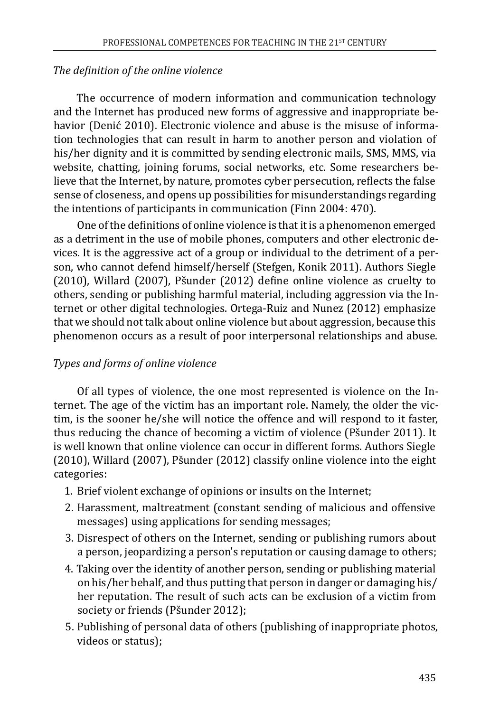#### *The definition of the online violence*

The occurrence of modern information and communication technology and the Internet has produced new forms of aggressive and inappropriate behavior (Denić 2010). Electronic violence and abuse is the misuse of information technologies that can result in harm to another person and violation of his/her dignity and it is committed by sending electronic mails, SMS, MMS, via website, chatting, joining forums, social networks, etc. Some researchers believe that the Internet, by nature, promotes cyber persecution, reflects the false sense of closeness, and opens up possibilities for misunderstandings regarding the intentions of participants in communication (Finn 2004: 470).

One of the definitions of online violence is that it is a phenomenon emerged as a detriment in the use of mobile phones, computers and other electronic devices. It is the aggressive act of a group or individual to the detriment of a person, who cannot defend himself/herself (Stefgen, Konik 2011). Authors Siegle (2010), Willard (2007), Pšunder (2012) define online violence as cruelty to others, sending or publishing harmful material, including aggression via the Internet or other digital technologies. Ortega-Ruiz and Nunez (2012) emphasize that we should not talk about online violence but about aggression, because this phenomenon occurs as a result of poor interpersonal relationships and abuse.

#### *Types and forms of online violence*

Of all types of violence, the one most represented is violence on the Internet. The age of the victim has an important role. Namely, the older the victim, is the sooner he/she will notice the offence and will respond to it faster, thus reducing the chance of becoming a victim of violence (Pšunder 2011). It is well known that online violence can occur in different forms. Authors Siegle (2010), Willard (2007), Pšunder (2012) classify online violence into the eight categories:

- 1. Brief violent exchange of opinions or insults on the Internet;
- 2. Harassment, maltreatment (constant sending of malicious and offensive messages) using applications for sending messages;
- 3. Disrespect of others on the Internet, sending or publishing rumors about a person, jeopardizing a person's reputation or causing damage to others;
- 4. Taking over the identity of another person, sending or publishing material on his/her behalf, and thus putting that person in danger or damaging his/ her reputation. The result of such acts can be exclusion of a victim from society or friends (Pšunder 2012);
- 5. Publishing of personal data of others (publishing of inappropriate photos, videos or status);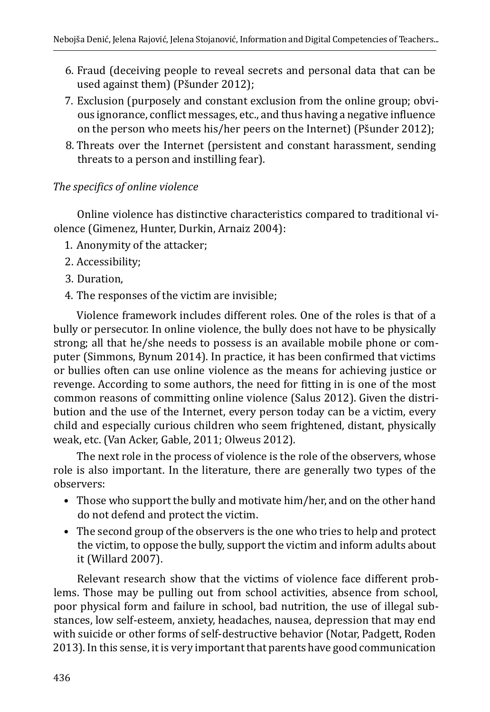- 6. Fraud (deceiving people to reveal secrets and personal data that can be used against them) (Pšunder 2012);
- 7. Exclusion (purposely and constant exclusion from the online group; obvious ignorance, conflict messages, etc., and thus having a negative influence on the person who meets his/her peers on the Internet) (Pšunder 2012);
- 8. Threats over the Internet (persistent and constant harassment, sending threats to a person and instilling fear).

### *The specifics of online violence*

Online violence has distinctive characteristics compared to traditional violence (Gimenez, Hunter, Durkin, Arnaiz 2004):

- 1. Anonymity of the attacker;
- 2. Accessibility;
- 3. Duration,
- 4. The responses of the victim are invisible;

Violence framework includes different roles. One of the roles is that of a bully or persecutor. In online violence, the bully does not have to be physically strong; all that he/she needs to possess is an available mobile phone or computer (Simmons, Bynum 2014). In practice, it has been confirmed that victims or bullies often can use online violence as the means for achieving justice or revenge. According to some authors, the need for fitting in is one of the most common reasons of committing online violence (Salus 2012). Given the distribution and the use of the Internet, every person today can be a victim, every child and especially curious children who seem frightened, distant, physically weak, etc. (Van Acker, Gable, 2011; Olweus 2012).

The next role in the process of violence is the role of the observers, whose role is also important. In the literature, there are generally two types of the observers:

- Those who support the bully and motivate him/her, and on the other hand do not defend and protect the victim.
- The second group of the observers is the one who tries to help and protect the victim, to oppose the bully, support the victim and inform adults about it (Willard 2007).

Relevant research show that the victims of violence face different problems. Those may be pulling out from school activities, absence from school, poor physical form and failure in school, bad nutrition, the use of illegal substances, low self-esteem, anxiety, headaches, nausea, depression that may end with suicide or other forms of self-destructive behavior (Notar, Padgett, Roden 2013). In this sense, it is very important that parents have good communication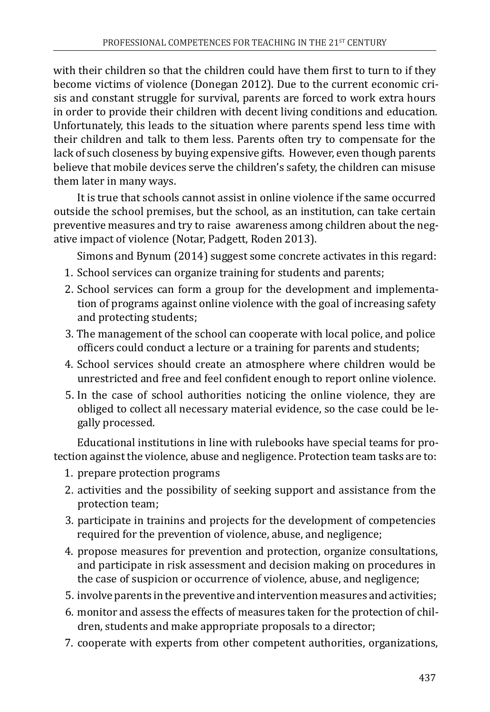with their children so that the children could have them first to turn to if they become victims of violence (Donegan 2012). Due to the current economic crisis and constant struggle for survival, parents are forced to work extra hours in order to provide their children with decent living conditions and education. Unfortunately, this leads to the situation where parents spend less time with their children and talk to them less. Parents often try to compensate for the lack of such closeness by buying expensive gifts. However, even though parents believe that mobile devices serve the children's safety, the children can misuse them later in many ways.

It is true that schools cannot assist in online violence if the same occurred outside the school premises, but the school, as an institution, can take certain preventive measures and try to raise awareness among children about the negative impact of violence (Notar, Padgett, Roden 2013).

Simons and Bynum (2014) suggest some concrete activates in this regard:

- 1. School services can organize training for students and parents;
- 2. School services can form a group for the development and implementation of programs against online violence with the goal of increasing safety and protecting students;
- 3. The management of the school can cooperate with local police, and police officers could conduct a lecture or a training for parents and students;
- 4. School services should create an atmosphere where children would be unrestricted and free and feel confident enough to report online violence.
- 5. In the case of school authorities noticing the online violence, they are obliged to collect all necessary material evidence, so the case could be legally processed.

Educational institutions in line with rulebooks have special teams for protection against the violence, abuse and negligence. Protection team tasks are to:

- 1. prepare protection programs
- 2. activities and the possibility of seeking support and assistance from the protection team;
- 3. participate in trainins and projects for the development of competencies required for the prevention of violence, abuse, and negligence;
- 4. propose measures for prevention and protection, organize consultations, and participate in risk assessment and decision making on procedures in the case of suspicion or occurrence of violence, abuse, and negligence;
- 5. involve parents in the preventive and intervention measures and activities;
- 6. monitor and assess the effects of measures taken for the protection of children, students and make appropriate proposals to a director;
- 7. cooperate with experts from other competent authorities, organizations,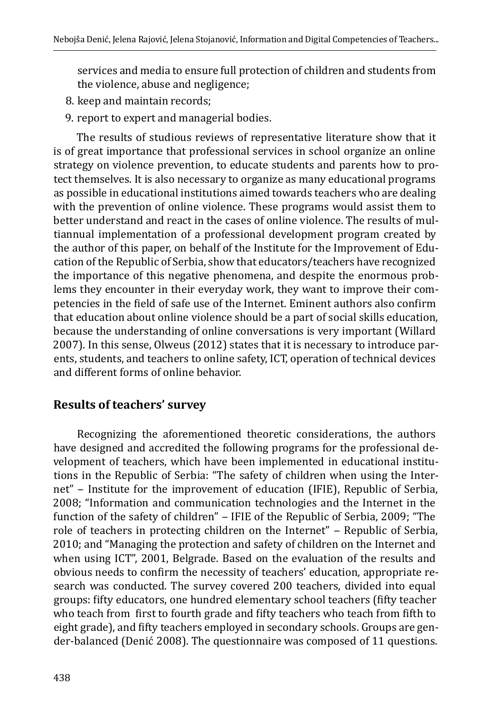services and media to ensure full protection of children and students from the violence, abuse and negligence;

- 8. keep and maintain records;
- 9. report to expert and managerial bodies.

The results of studious reviews of representative literature show that it is of great importance that professional services in school organize an online strategy on violence prevention, to educate students and parents how to protect themselves. It is also necessary to organize as many educational programs as possible in educational institutions aimed towards teachers who are dealing with the prevention of online violence. These programs would assist them to better understand and react in the cases of online violence. The results of multiannual implementation of a professional development program created by the author of this paper, on behalf of the Institute for the Improvement of Education of the Republic of Serbia, show that educators/teachers have recognized the importance of this negative phenomena, and despite the enormous problems they encounter in their everyday work, they want to improve their competencies in the field of safe use of the Internet. Eminent authors also confirm that education about online violence should be a part of social skills education, because the understanding of online conversations is very important (Willard 2007). In this sense, Olweus (2012) states that it is necessary to introduce parents, students, and teachers to online safety, ICT, operation of technical devices and different forms of online behavior.

## **Results of teachers' survey**

Recognizing the aforementioned theoretic considerations, the authors have designed and accredited the following programs for the professional development of teachers, which have been implemented in educational institutions in the Republic of Serbia: "The safety of children when using the Internet" - Institute for the improvement of education (IFIE), Republic of Serbia, 2008; "Information and communication technologies and the Internet in the function of the safety of children" - IFIE of the Republic of Serbia, 2009; "The role of teachers in protecting children on the Internet" - Republic of Serbia, 2010; and "Managing the protection and safety of children on the Internet and when using ICT", 2001, Belgrade. Based on the evaluation of the results and obvious needs to confirm the necessity of teachers' education, appropriate research was conducted. The survey covered 200 teachers, divided into equal groups: fifty educators, one hundred elementary school teachers (fifty teacher who teach from first to fourth grade and fifty teachers who teach from fifth to eight grade), and fifty teachers employed in secondary schools. Groups are gender-balanced (Denić 2008). The questionnaire was composed of 11 questions.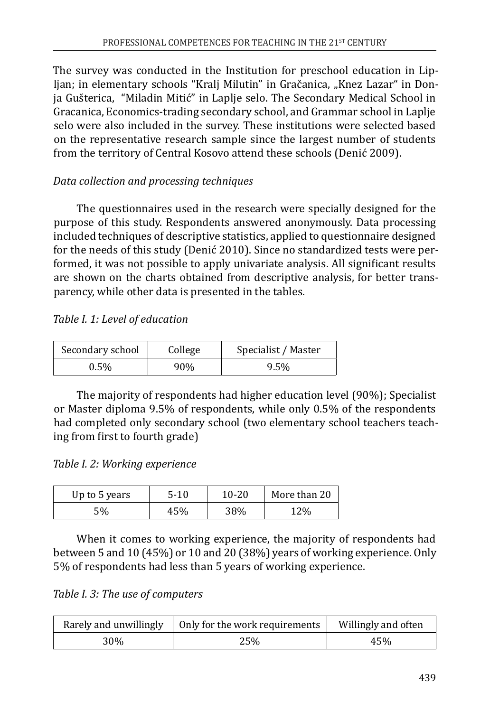The survey was conducted in the Institution for preschool education in Lipljan; in elementary schools "Kralj Milutin" in Gračanica, "Knez Lazar" in Donja Gušterica, "Miladin Mitić" in Laplje selo. The Secondary Medical School in Gracanica, Economics-trading secondary school, and Grammar school in Laplje selo were also included in the survey. These institutions were selected based on the representative research sample since the largest number of students from the territory of Central Kosovo attend these schools (Denić 2009).

## *Data collection and processing techniques*

The questionnaires used in the research were specially designed for the purpose of this study. Respondents answered anonymously. Data processing included techniques of descriptive statistics, applied to questionnaire designed for the needs of this study (Denić 2010). Since no standardized tests were performed, it was not possible to apply univariate analysis. All significant results are shown on the charts obtained from descriptive analysis, for better transparency, while other data is presented in the tables.

#### *Table I. 1: Level of education*

| Secondary school | College | Specialist / Master |
|------------------|---------|---------------------|
| 0.5%             | 90%     | 9.5%                |

The majority of respondents had higher education level (90%); Specialist or Master diploma 9.5% of respondents, while only 0.5% of the respondents had completed only secondary school (two elementary school teachers teaching from first to fourth grade)

#### *Table I. 2: Working experience*

| Up to 5 years | $5-10$ | 10-20 | More than 20 |
|---------------|--------|-------|--------------|
| 5%            | 45%    | 38%   | 12%          |

When it comes to working experience, the majority of respondents had between 5 and 10 (45%) or 10 and 20 (38%) years of working experience. Only 5% of respondents had less than 5 years of working experience.

*Table I. 3: The use of computers* 

| Rarely and unwillingly | Only for the work requirements | Willingly and often |
|------------------------|--------------------------------|---------------------|
| 30%                    | 25%                            | 45%                 |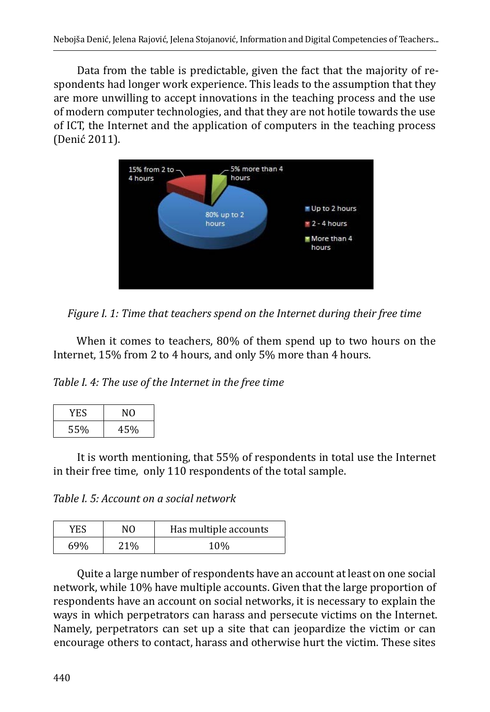Data from the table is predictable, given the fact that the majority of respondents had longer work experience. This leads to the assumption that they are more unwilling to accept innovations in the teaching process and the use of modern computer technologies, and that they are not hotile towards the use of ICT, the Internet and the application of computers in the teaching process (Denić 2011).



*Figure I. 1: Time that teachers spend on the Internet during their free time*

When it comes to teachers, 80% of them spend up to two hours on the Internet, 15% from 2 to 4 hours, and only 5% more than 4 hours.

*Table I. 4: The use of the Internet in the free time*

| YES |     |
|-----|-----|
| 55% | 45% |

It is worth mentioning, that 55% of respondents in total use the Internet in their free time, only 110 respondents of the total sample.

*Table I. 5: Account on a social network*

| YES | NΩ  | Has multiple accounts |
|-----|-----|-----------------------|
| 69% | 21% | 10%                   |

Quite a large number of respondents have an account at least on one social network, while 10% have multiple accounts. Given that the large proportion of respondents have an account on social networks, it is necessary to explain the ways in which perpetrators can harass and persecute victims on the Internet. Namely, perpetrators can set up a site that can jeopardize the victim or can encourage others to contact, harass and otherwise hurt the victim. These sites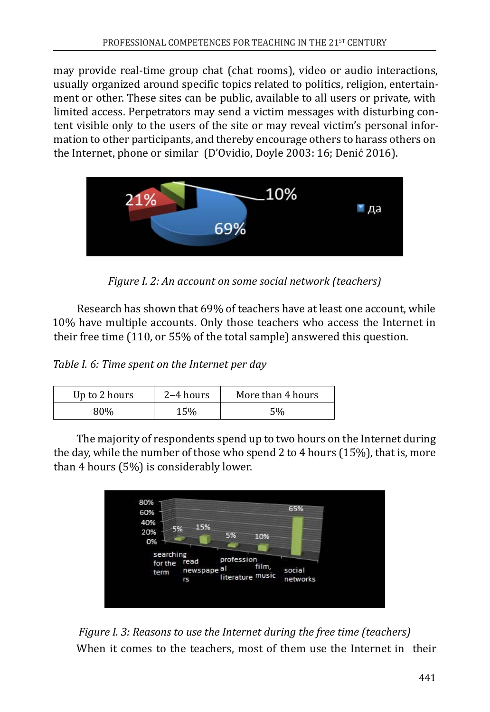may provide real-time group chat (chat rooms), video or audio interactions, usually organized around specific topics related to politics, religion, entertainment or other. These sites can be public, available to all users or private, with limited access. Perpetrators may send a victim messages with disturbing content visible only to the users of the site or may reveal victim's personal information to other participants, and thereby encourage others to harass others on the Internet, phone or similar (D'Ovidio, Doyle 2003: 16; Denić 2016).



*Figure I. 2: An account on some social network (teachers)* 

Research has shown that 69% of teachers have at least one account, while 10% have multiple accounts. Only those teachers who access the Internet in their free time (110, or 55% of the total sample) answered this question.

*Table I. 6: Time spent on the Internet per day*

| Up to 2 hours | $2-4$ hours | More than 4 hours |
|---------------|-------------|-------------------|
| 30%           | 15%         | 5%                |

The majority of respondents spend up to two hours on the Internet during the day, while the number of those who spend 2 to 4 hours (15%), that is, more than 4 hours (5%) is considerably lower.



*Figure I. 3: Reasons to use the Internet during the free time (teachers)* When it comes to the teachers, most of them use the Internet in their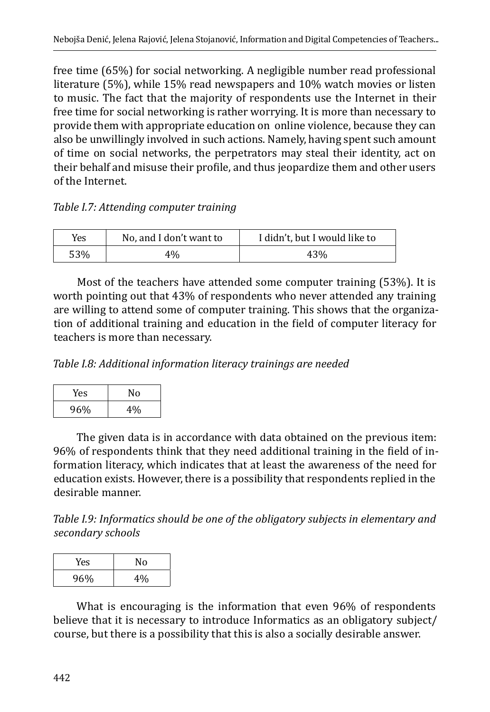free time (65%) for social networking. A negligible number read professional literature (5%), while 15% read newspapers and 10% watch movies or listen to music. The fact that the majority of respondents use the Internet in their free time for social networking is rather worrying. It is more than necessary to provide them with appropriate education on online violence, because they can also be unwillingly involved in such actions. Namely, having spent such amount of time on social networks, the perpetrators may steal their identity, act on their behalf and misuse their profile, and thus jeopardize them and other users of the Internet.

#### *Table I.7: Attending computer training*

| Yes | No, and I don't want to | I didn't, but I would like to |
|-----|-------------------------|-------------------------------|
| 53% | 4%                      | 43%                           |

Most of the teachers have attended some computer training (53%). It is worth pointing out that 43% of respondents who never attended any training are willing to attend some of computer training. This shows that the organization of additional training and education in the field of computer literacy for teachers is more than necessary.

*Table I.8: Additional information literacy trainings are needed*

| Yes | No |
|-----|----|
| 96% | 4% |

The given data is in accordance with data obtained on the previous item: 96% of respondents think that they need additional training in the field of information literacy, which indicates that at least the awareness of the need for education exists. However, there is a possibility that respondents replied in the desirable manner.

*Table I.9: Informatics should be one of the obligatory subjects in elementary and secondary schools*

| Yes | No |
|-----|----|
| 96% | 4% |

What is encouraging is the information that even 96% of respondents believe that it is necessary to introduce Informatics as an obligatory subject/ course, but there is a possibility that this is also a socially desirable answer.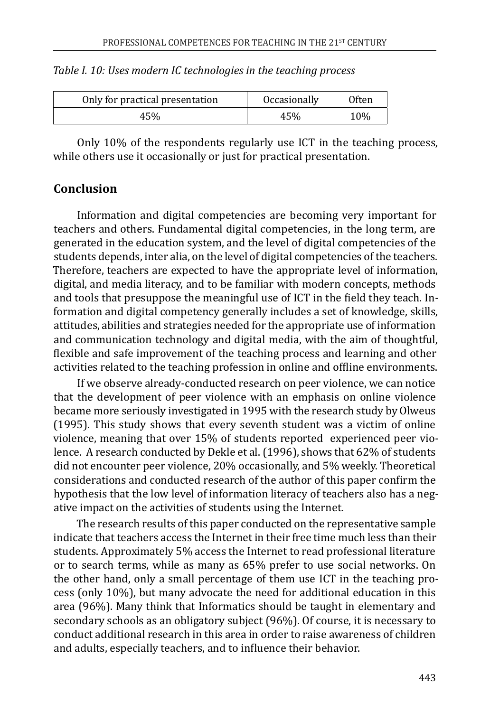| Only for practical presentation | <i><b>Occasionally</b></i> | <b>Often</b> |
|---------------------------------|----------------------------|--------------|
| 45%                             | 45%                        | 10%          |

| Table I. 10: Uses modern IC technologies in the teaching process |  |  |
|------------------------------------------------------------------|--|--|
|------------------------------------------------------------------|--|--|

Only 10% of the respondents regularly use ICT in the teaching process, while others use it occasionally or just for practical presentation.

## **Conclusion**

Information and digital competencies are becoming very important for teachers and others. Fundamental digital competencies, in the long term, are generated in the education system, and the level of digital competencies of the students depends, inter alia, on the level of digital competencies of the teachers. Therefore, teachers are expected to have the appropriate level of information, digital, and media literacy, and to be familiar with modern concepts, methods and tools that presuppose the meaningful use of ICT in the field they teach. Information and digital competency generally includes a set of knowledge, skills, attitudes, abilities and strategies needed for the appropriate use of information and communication technology and digital media, with the aim of thoughtful, flexible and safe improvement of the teaching process and learning and other activities related to the teaching profession in online and offline environments.

If we observe already-conducted research on peer violence, we can notice that the development of peer violence with an emphasis on online violence became more seriously investigated in 1995 with the research study by Olweus (1995). This study shows that every seventh student was a victim of online violence, meaning that over 15% of students reported experienced peer violence. A research conducted by Dekle et al. (1996), shows that 62% of students did not encounter peer violence, 20% occasionally, and 5% weekly. Theoretical considerations and conducted research of the author of this paper confirm the hypothesis that the low level of information literacy of teachers also has a negative impact on the activities of students using the Internet.

The research results of this paper conducted on the representative sample indicate that teachers access the Internet in their free time much less than their students. Approximately 5% access the Internet to read professional literature or to search terms, while as many as 65% prefer to use social networks. On the other hand, only a small percentage of them use ICT in the teaching process (only 10%), but many advocate the need for additional education in this area (96%). Many think that Informatics should be taught in elementary and secondary schools as an obligatory subject (96%). Of course, it is necessary to conduct additional research in this area in order to raise awareness of children and adults, especially teachers, and to influence their behavior.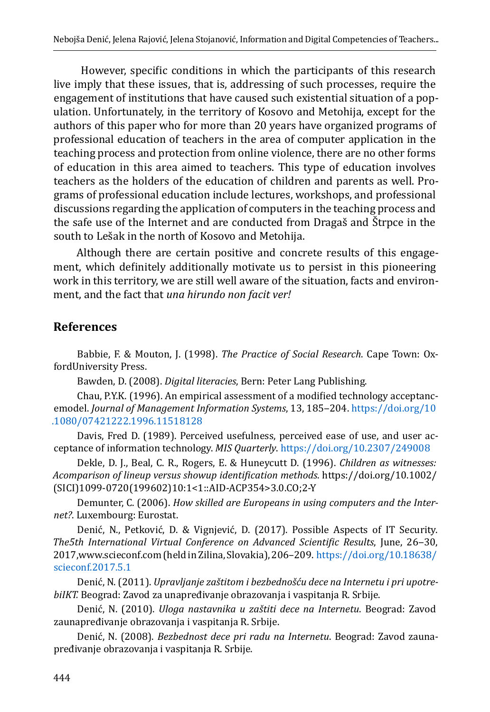However, specific conditions in which the participants of this research live imply that these issues, that is, addressing of such processes, require the engagement of institutions that have caused such existential situation of a population. Unfortunately, in the territory of Kosovo and Metohija, except for the authors of this paper who for more than 20 years have organized programs of professional education of teachers in the area of computer application in the teaching process and protection from online violence, there are no other forms of education in this area aimed to teachers. This type of education involves teachers as the holders of the education of children and parents as well. Programs of professional education include lectures, workshops, and professional discussions regarding the application of computers in the teaching process and the safe use of the Internet and are conducted from Dragaš and Štrpce in the south to Lešak in the north of Kosovo and Metohija.

Although there are certain positive and concrete results of this engagement, which definitely additionally motivate us to persist in this pioneering work in this territory, we are still well aware of the situation, facts and environment, and the fact that *una hirundo non facit ver!*

## **References**

Babbie, F. & Mouton, J. (1998). *The Practice of Social Research*. Cape Town: OxfordUniversity Press.

Bawden, D. (2008). *Digital literacies*, Bern: Peter Lang Publishing.

Chau, P.Y.K. (1996). An empirical assessment of a modified technology acceptancemodel. *Journal of Management Information Systems*, 13, 185-204. [https://doi.org/10](https://doi.org/10.1080/07421222.1996.11518128) [.1080/07421222.1996.11518128](https://doi.org/10.1080/07421222.1996.11518128)

Davis, Fred D. (1989). Perceived usefulness, perceived ease of use, and user acceptance of information technology. *MIS Quarterly*.<https://doi.org/10.2307/249008>

Dekle, D. J., Beal, C. R., Rogers, E. & Huneycutt D. (1996). *Children as witnesses: Acomparison of lineup versus showup identification methods*. https://doi.org/10.1002/ (SICI)1099-0720(199602)10:1<1::AID-ACP354>3.0.CO;2-Y

Demunter, C. (2006). *How skilled are Europeans in using computers and the Internet?*. Luxembourg: Eurostat.

Denić, N., Petković, D. & Vignjević, D. (2017). Possible Aspects of IT Security. *The5th International Virtual Conference on Advanced Scientific Results*, June, 26‒30, 2017,www.scieconf.com (held in Zilina, Slovakia), 206–209. [https://doi.org/10.18638/](https://doi.org/10.18638/scieconf.2017.5.1) [scieconf.2017.5.1](https://doi.org/10.18638/scieconf.2017.5.1)

Denić, N. (2011). *Upravlјanje zaštitom i bezbednošću dece na Internetu i pri upotrebiIKT.* Beograd: Zavod za unapređivanje obrazovanja i vaspitanja R. Srbije.

Denić, N. (2010). *Uloga nastavnika u zaštiti dece na Internetu*. Beograd: Zavod zaunapređivanje obrazovanja i vaspitanja R. Srbije.

Denić, N. (2008). *Bezbednost dece pri radu na Internetu*. Beograd: Zavod zaunapređivanje obrazovanja i vaspitanja R. Srbije.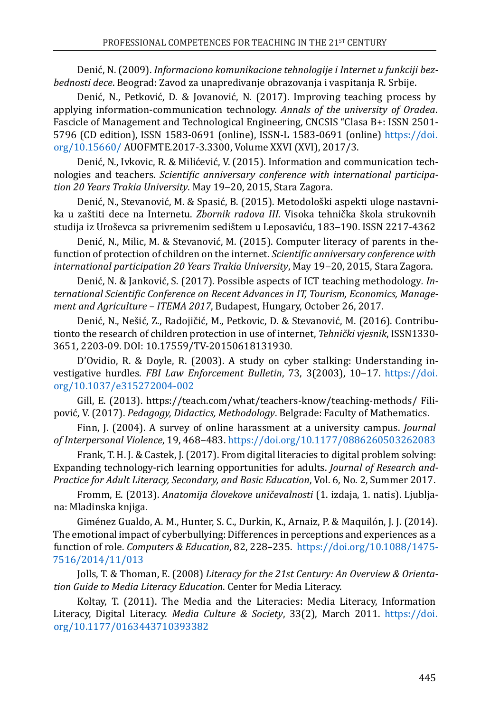Denić, N. (2009). *Informaciono komunikacione tehnologije i Internet u funkciji bezbednosti dece*. Beograd: Zavod za unapređivanje obrazovanja i vaspitanja R. Srbije.

Denić, N., Petković, D. & Jovanović, N. (2017). Improving teaching process by applying information-communication technology. *Annals of the university of Oradea*. Fascicle of Management and Technological Engineering, CNCSIS "Clasa B+: ISSN 2501- 5796 (CD edition), ISSN 1583-0691 (online), ISSN-L 1583-0691 (online) [https://doi.](https://doi.org/10.15660/) [org/10.15660/](https://doi.org/10.15660/) AUOFMTE.2017-3.3300, Volume XXVI (XVI), 2017/3.

Denić, N., Ivkovic, R. & Milićević, V. (2015). Information and communication technologies and teachers. *Scientific anniversary conference with international participation 20 Years Trakia University*. May 19‒20, 2015, Stara Zagora.

Denić, N., Stevanović, M. & Spasić, B. (2015). Metodološki aspekti uloge nastavnika u zaštiti dece na Internetu. *Zbornik radova III*. Visoka tehnička škola strukovnih studija iz Uroševca sa privremenim sedištem u Leposaviću, 183-190. ISSN 2217-4362

Denić, N., Milic, M. & Stevanović, M. (2015). Computer literacy of parents in thefunction of protection of children on the internet. *Scientific anniversary conference with international participation 20 Years Trakia University*, May 19‒20, 2015, Stara Zagora.

Denić, N. & Janković, S. (2017). Possible aspects of ICT teaching methodology*. International Scientific Conference on Recent Advances in IT, Tourism, Economics, Management and Agriculture – ITEMA 2017*, Budapest, Hungary, October 26, 2017.

Denić, N., Nešić, Z., Radojičić, M., Petkovic, D. & Stevanović, M. (2016). Contributionto the research of children protection in use of internet, *Tehnički vjesnik*, ISSN1330- 3651, 2203-09. DOI: 10.17559/TV-20150618131930.

D'Ovidio, R. & Doyle, R. (2003). A study on cyber stalking: Understanding investigative hurdles. *FBI Law Enforcement Bulletin*, 73, 3(2003), 10-17. [https://doi.](https://doi.org/10.1037/e315272004-002) [org/10.1037/e315272004-002](https://doi.org/10.1037/e315272004-002)

Gill, E. (2013). https://teach.com/what/teachers-know/teaching-methods/ Filipović, V. (2017). *Pedagogy, Didactics, Methodology*. Belgrade: Faculty of Mathematics.

Finn, J. (2004). A survey of online harassment at a university campus. *Journal of Interpersonal Violence*, 19, 468‒483. <https://doi.org/10.1177/0886260503262083>

Frank, T. H. J. & Castek, J. (2017). From digital literacies to digital problem solving: Expanding technology-rich learning opportunities for adults. *Journal of Research and-Practice for Adult Literacy, Secondary, and Basic Education*, Vol. 6, No. 2, Summer 2017.

Fromm, E. (2013). *Anatomija človekove uničevalnosti* (1. izdaja, 1. natis). Ljubljana: Mladinska knjiga.

Giménez Gualdo, A. M., Hunter, S. C., Durkin, K., Arnaiz, P. & Maquilón, J. J. (2014). The emotional impact of cyberbullying: Differences in perceptions and experiences as a function of role. *Computers & Education*, 82, 228–235. [https://doi.org/10.1088/1475-](https://doi.org/10.1088/1475-7516/2014/11/013) [7516/2014/11/013](https://doi.org/10.1088/1475-7516/2014/11/013)

Jolls, T. & Thoman, E. (2008) *Literacy for the 21st Century: An Overview & Orientation Guide to Media Literacy Education*. Center for Media Literacy.

Koltay, T. (2011). The Media and the Literacies: Media Literacy, Information Literacy, Digital Literacy. *Media Culture & Society*, 33(2), March 2011. [https://doi.](https://doi.org/10.1177/0163443710393382) [org/10.1177/0163443710393382](https://doi.org/10.1177/0163443710393382)